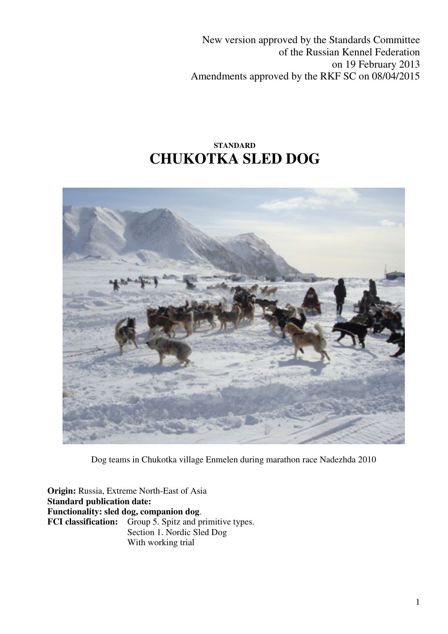New version approved by the Standards Committee of the Russian Kennel Federation on 19 February 2013 Amendments approved by the RKF SC on 08/04/2015

# **STANDARD CHUKOTKA SLED DOG**



Dog teams in Chukotka village Enmelen during marathon race Nadezhda 2010

**Origin:** Russia, Extreme North-East of Asia **Standard publication date: Functionality: sled dog, companion dog**. **FCI classification:** Group 5. Spitz and primitive types. Section 1. Nordic Sled Dog With working trial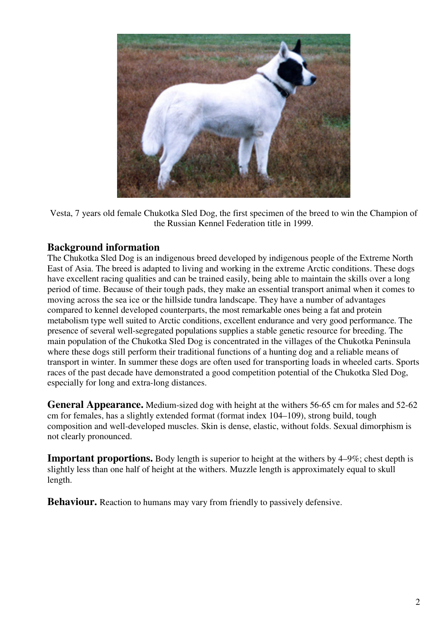

Vesta, 7 years old female Chukotka Sled Dog, the first specimen of the breed to win the Champion of the Russian Kennel Federation title in 1999.

## **Background information**

The Chukotka Sled Dog is an indigenous breed developed by indigenous people of the Extreme North East of Asia. The breed is adapted to living and working in the extreme Arctic conditions. These dogs have excellent racing qualities and can be trained easily, being able to maintain the skills over a long period of time. Because of their tough pads, they make an essential transport animal when it comes to moving across the sea ice or the hillside tundra landscape. They have a number of advantages compared to kennel developed counterparts, the most remarkable ones being a fat and protein metabolism type well suited to Arctic conditions, excellent endurance and very good performance. The presence of several well-segregated populations supplies a stable genetic resource for breeding. The main population of the Chukotka Sled Dog is concentrated in the villages of the Chukotka Peninsula where these dogs still perform their traditional functions of a hunting dog and a reliable means of transport in winter. In summer these dogs are often used for transporting loads in wheeled carts. Sports races of the past decade have demonstrated a good competition potential of the Chukotka Sled Dog, especially for long and extra-long distances.

**General Appearance.** Medium-sized dog with height at the withers 56-65 cm for males and 52-62 cm for females, has a slightly extended format (format index 104–109), strong build, tough composition and well-developed muscles. Skin is dense, elastic, without folds. Sexual dimorphism is not clearly pronounced.

**Important proportions.** Body length is superior to height at the withers by 4–9%; chest depth is slightly less than one half of height at the withers. Muzzle length is approximately equal to skull length.

**Behaviour.** Reaction to humans may vary from friendly to passively defensive.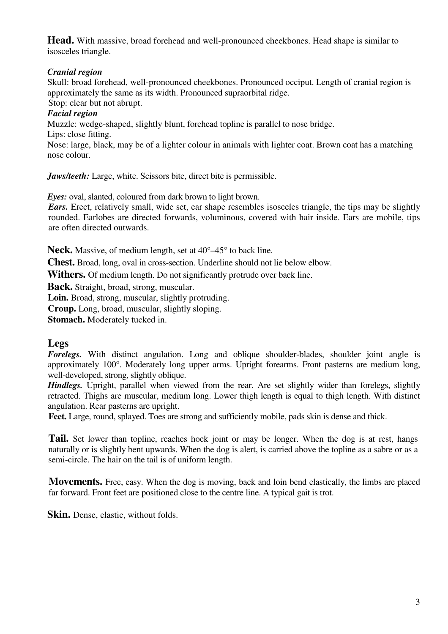**Head.** With massive, broad forehead and well-pronounced cheekbones. Head shape is similar to isosceles triangle.

#### *Cranial region*

Skull: broad forehead, well-pronounced cheekbones. Pronounced occiput. Length of cranial region is approximately the same as its width. Pronounced supraorbital ridge.

Stop: clear but not abrupt.

#### *Facial region*

Muzzle: wedge-shaped, slightly blunt, forehead topline is parallel to nose bridge.

Lips: close fitting.

Nose: large, black, may be of a lighter colour in animals with lighter coat. Brown coat has a matching nose colour.

*Jaws/teeth:* Large, white. Scissors bite, direct bite is permissible.

*Eyes:* oval, slanted, coloured from dark brown to light brown.

*Ears.* Erect, relatively small, wide set, ear shape resembles isosceles triangle, the tips may be slightly rounded. Earlobes are directed forwards, voluminous, covered with hair inside. Ears are mobile, tips are often directed outwards.

**Neck.** Massive, of medium length, set at 40°–45° to back line.

**Chest.** Broad, long, oval in cross-section. Underline should not lie below elbow.

**Withers.** Of medium length. Do not significantly protrude over back line.

**Back.** Straight, broad, strong, muscular.

**Loin.** Broad, strong, muscular, slightly protruding.

**Croup.** Long, broad, muscular, slightly sloping.

**Stomach.** Moderately tucked in.

## **Legs**

*Forelegs.* With distinct angulation. Long and oblique shoulder-blades, shoulder joint angle is approximately 100°. Moderately long upper arms. Upright forearms. Front pasterns are medium long, well-developed, strong, slightly oblique.

*Hindlegs.* Upright, parallel when viewed from the rear. Are set slightly wider than forelegs, slightly retracted. Thighs are muscular, medium long. Lower thigh length is equal to thigh length. With distinct angulation. Rear pasterns are upright.

Feet. Large, round, splayed. Toes are strong and sufficiently mobile, pads skin is dense and thick.

**Tail.** Set lower than topline, reaches hock joint or may be longer. When the dog is at rest, hangs naturally or is slightly bent upwards. When the dog is alert, is carried above the topline as a sabre or as a semi-circle. The hair on the tail is of uniform length.

**Movements.** Free, easy. When the dog is moving, back and loin bend elastically, the limbs are placed far forward. Front feet are positioned close to the centre line. A typical gait is trot.

**Skin.** Dense, elastic, without folds.